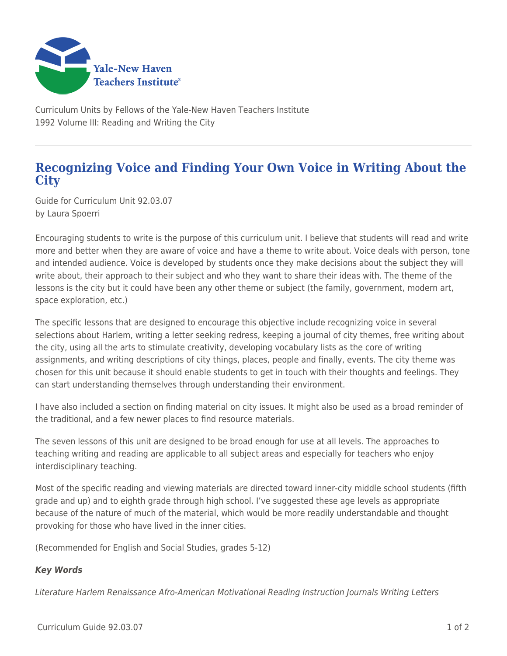

Curriculum Units by Fellows of the Yale-New Haven Teachers Institute 1992 Volume III: Reading and Writing the City

## **Recognizing Voice and Finding Your Own Voice in Writing About the City**

Guide for Curriculum Unit 92.03.07 by Laura Spoerri

Encouraging students to write is the purpose of this curriculum unit. I believe that students will read and write more and better when they are aware of voice and have a theme to write about. Voice deals with person, tone and intended audience. Voice is developed by students once they make decisions about the subject they will write about, their approach to their subject and who they want to share their ideas with. The theme of the lessons is the city but it could have been any other theme or subject (the family, government, modern art, space exploration, etc.)

The specific lessons that are designed to encourage this objective include recognizing voice in several selections about Harlem, writing a letter seeking redress, keeping a journal of city themes, free writing about the city, using all the arts to stimulate creativity, developing vocabulary lists as the core of writing assignments, and writing descriptions of city things, places, people and finally, events. The city theme was chosen for this unit because it should enable students to get in touch with their thoughts and feelings. They can start understanding themselves through understanding their environment.

I have also included a section on finding material on city issues. It might also be used as a broad reminder of the traditional, and a few newer places to find resource materials.

The seven lessons of this unit are designed to be broad enough for use at all levels. The approaches to teaching writing and reading are applicable to all subject areas and especially for teachers who enjoy interdisciplinary teaching.

Most of the specific reading and viewing materials are directed toward inner-city middle school students (fifth grade and up) and to eighth grade through high school. I've suggested these age levels as appropriate because of the nature of much of the material, which would be more readily understandable and thought provoking for those who have lived in the inner cities.

(Recommended for English and Social Studies, grades 5-12)

## *Key Words*

Literature Harlem Renaissance Afro-American Motivational Reading Instruction Journals Writing Letters